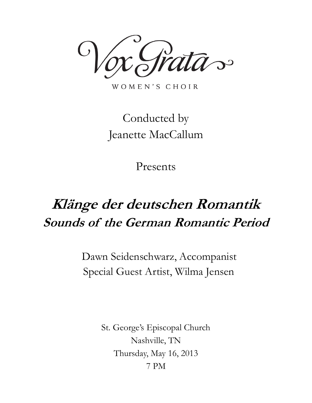$\overline{\mathcal{S}}$ 

WOMEN'S CHOIR

## Conducted by Jeanette MacCallum

Presents

# **Klänge der deutschen Romantik Sounds of the German Romantic Period**

Dawn Seidenschwarz, Accompanist Special Guest Artist, Wilma Jensen

> St. George's Episcopal Church Nashville, TN Thursday, May 16, 2013 7 PM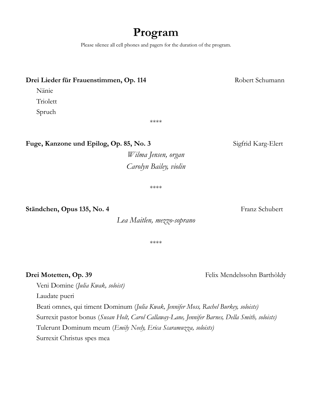### **Program**

Please silence all cell phones and pagers for the duration of the program.

#### **Drei Lieder für Frauenstimmen, Op. 114** Robert Schumann

Nänie

**Triolett** 

Spruch

\*\*\*\*

Fuge, Kanzone und Epilog, Op. 85, No. 3<br>Sigfrid Karg-Elert

*Wilma Jensen, organ Carolyn Bailey, violin*

\*\*\*\*

#### **Ständchen, Opus 135, No. 4** Franz Schubert

*Lea Maitlen, mezzo-soprano*

\*\*\*\*

#### **Drei Motetten, Op. 39 Felix Mendelssohn Barthòldy**

Veni Domine (*Julia Kwak, soloist)*

Laudate pueri

Beati omnes, qui timent Dominum (*Julia Kwak, Jennifer Moss, Rachel Burkey, soloists)*

Surrexit pastor bonus (*Susan Holt, Carol Callaway-Lane, Jennifer Barnes, Della Smith, soloists)*

Tulerunt Dominum meum (*Emily Neely, Erica Scaramuzza, soloists)*

Surrexit Christus spes mea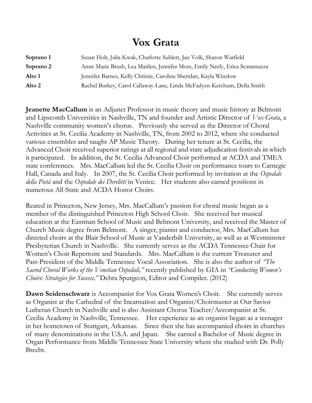### **Vox Grata**

| Soprano 1 | Susan Holt, Julia Kwak, Charlotte Sublett, Jan Volk, Sharon Warfield        |
|-----------|-----------------------------------------------------------------------------|
| Soprano 2 | Anne Marie Brush, Lea Maitlen, Jennifer Moss, Emily Neely, Erica Scaramuzza |
| Alto 1    | Jennifer Barnes, Kelly Christie, Caroline Sheridan, Kayla Winslow           |
| Alto 2    | Rachel Burkey, Carol Callaway-Lane, Linda McFadyen-Ketchum, Della Smith     |

**Jeanette MacCallum** is an Adjunct Professor in music theory and music history at Belmont and Lipscomb Universities in Nashville, TN and founder and Artistic Director of *Vox Grata*, a Nashville community women's chorus. Previously she served as the Director of Choral Activities at St. Cecilia Academy in Nashville, TN, from 2002 to 2012, where she conducted various ensembles and taught AP Music Theory. During her tenure at St. Cecilia, the Advanced Choir received superior ratings at all regional and state adjudication festivals in which it participated. In addition, the St. Cecilia Advanced Choir performed at ACDA and TMEA state conferences. Mrs. MacCallum led the St. Cecilia Choir on performance tours to Carnegie Hall, Canada and Italy. In 2007, the St. Cecilia Choir performed by invitation at the *Ospedale della Pietà* and the *Ospedale dei Derelitti* in Venice. Her students also earned positions in numerous All-State and ACDA Honor Choirs.

Reared in Princeton, New Jersey, Mrs. MacCallum's passion for choral music began as a member of the distinguished Princeton High School Choir. She received her musical education at the Eastman School of Music and Belmont University, and received the Master of Church Music degree from Belmont. A singer, pianist and conductor, Mrs. MacCallum has directed choirs at the Blair School of Music at Vanderbilt University, as well as at Westminster Presbyterian Church in Nashville. She currently serves as the ACDA Tennessee Chair for Women's Choir Repertoire and Standards. Mrs. MacCallum is the current Treasurer and Past-President of the Middle Tennessee Vocal Association. She is also the author of *"The Sacred Choral Works of the Venetian Ospedali,"* recently published by GIA in *"Conducting Women's Choirs: Strategies for Success,"* Debra Spurgeon, Editor and Compiler. (2012)

**Dawn Seidenschwarz** is Accompanist for Vox Grata Women's Choir. She currently serves as Organist at the Cathedral of the Incarnation and Organist/Choirmaster at Our Savior Lutheran Church in Nashville and is also Assistant Chorus Teacher/Accompanist at St. Cecilia Academy in Nashville, Tennessee. Her experience as an organist began as a teenager in her hometown of Stuttgart, Arkansas. Since then she has accompanied choirs in churches of many denominations in the U.S.A. and Japan. She earned a Bachelor of Music degree in Organ Performance from Middle Tennessee State University where she studied with Dr. Polly Brecht.